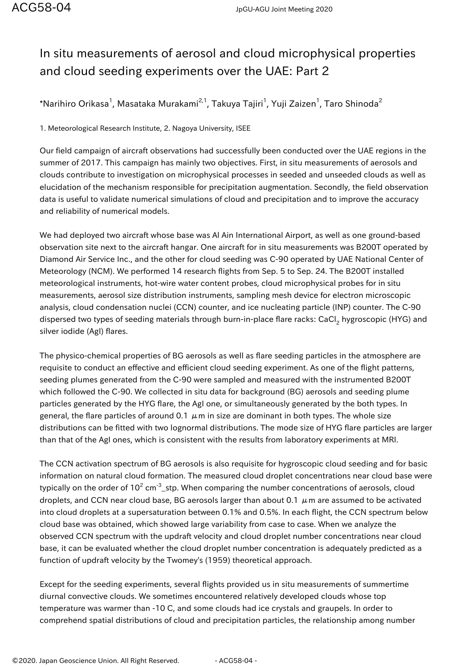## In situ measurements of aerosol and cloud microphysical properties and cloud seeding experiments over the UAE: Part 2

 $^*$ Narihiro Orikasa $^1$ , Masataka Murakami $^{2,1}$ , Takuya Tajiri $^1$ , Yuji Zaizen $^1$ , Taro Shinoda $^2$ 

1. Meteorological Research Institute, 2. Nagoya University, ISEE

Our field campaign of aircraft observations had successfully been conducted over the UAE regions in the summer of 2017. This campaign has mainly two objectives. First, in situ measurements of aerosols and clouds contribute to investigation on microphysical processes in seeded and unseeded clouds as well as elucidation of the mechanism responsible for precipitation augmentation. Secondly, the field observation data is useful to validate numerical simulations of cloud and precipitation and to improve the accuracy and reliability of numerical models.

We had deployed two aircraft whose base was Al Ain International Airport, as well as one ground-based observation site next to the aircraft hangar. One aircraft for in situ measurements was B200T operated by Diamond Air Service Inc., and the other for cloud seeding was C-90 operated by UAE National Center of Meteorology (NCM). We performed 14 research flights from Sep. 5 to Sep. 24. The B200T installed meteorological instruments, hot-wire water content probes, cloud microphysical probes for in situ measurements, aerosol size distribution instruments, sampling mesh device for electron microscopic analysis, cloud condensation nuclei (CCN) counter, and ice nucleating particle (INP) counter. The C-90 dispersed two types of seeding materials through burn-in-place flare racks: CaCl<sub>2</sub> hygroscopic (HYG) and silver iodide (AgI) flares.

The physico-chemical properties of BG aerosols as well as flare seeding particles in the atmosphere are requisite to conduct an effective and efficient cloud seeding experiment. As one of the flight patterns, seeding plumes generated from the C-90 were sampled and measured with the instrumented B200T which followed the C-90. We collected in situ data for background (BG) aerosols and seeding plume particles generated by the HYG flare, the AgI one, or simultaneously generated by the both types. In general, the flare particles of around 0.1  $\mu$ m in size are dominant in both types. The whole size distributions can be fitted with two lognormal distributions. The mode size of HYG flare particles are larger than that of the AgI ones, which is consistent with the results from laboratory experiments at MRI.

The CCN activation spectrum of BG aerosols is also requisite for hygroscopic cloud seeding and for basic information on natural cloud formation. The measured cloud droplet concentrations near cloud base were typically on the order of  $10^2$  cm<sup>-3</sup>\_stp. When comparing the number concentrations of aerosols, cloud droplets, and CCN near cloud base, BG aerosols larger than about 0.1  $\mu$ m are assumed to be activated into cloud droplets at a supersaturation between 0.1% and 0.5%. In each flight, the CCN spectrum below cloud base was obtained, which showed large variability from case to case. When we analyze the observed CCN spectrum with the updraft velocity and cloud droplet number concentrations near cloud base, it can be evaluated whether the cloud droplet number concentration is adequately predicted as a function of updraft velocity by the Twomey's (1959) theoretical approach.

Except for the seeding experiments, several flights provided us in situ measurements of summertime diurnal convective clouds. We sometimes encountered relatively developed clouds whose top temperature was warmer than -10 C, and some clouds had ice crystals and graupels. In order to comprehend spatial distributions of cloud and precipitation particles, the relationship among number